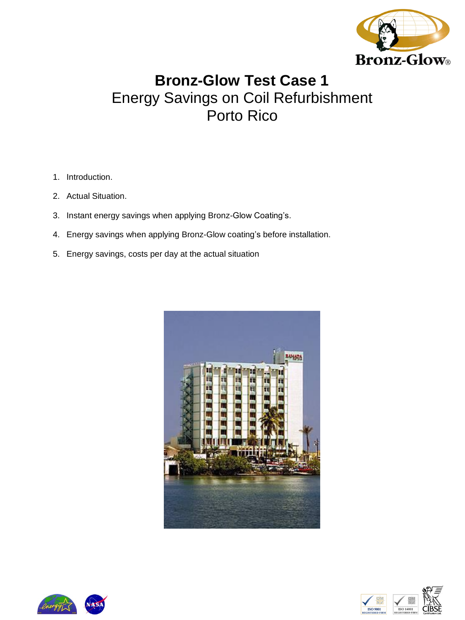

# **Bronz-Glow Test Case 1**  Energy Savings on Coil Refurbishment Porto Rico

- 1. Introduction.
- 2. Actual Situation.
- 3. Instant energy savings when applying Bronz-Glow Coating's.
- 4. Energy savings when applying Bronz-Glow coating's before installation.
- 5. Energy savings, costs per day at the actual situation







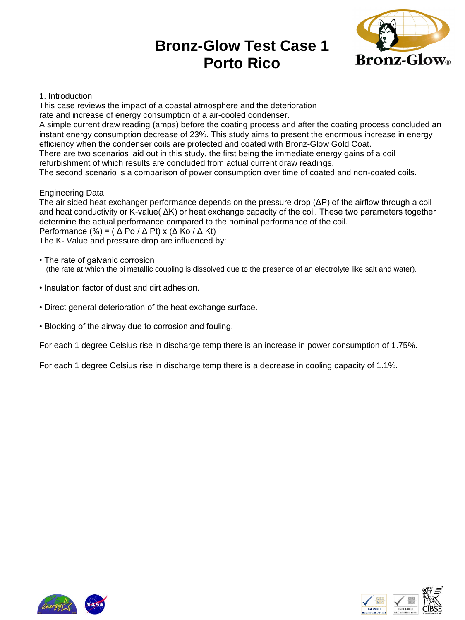

### 1. Introduction

This case reviews the impact of a coastal atmosphere and the deterioration rate and increase of energy consumption of a air-cooled condenser.

A simple current draw reading (amps) before the coating process and after the coating process concluded an instant energy consumption decrease of 23%. This study aims to present the enormous increase in energy efficiency when the condenser coils are protected and coated with Bronz-Glow Gold Coat.

There are two scenarios laid out in this study, the first being the immediate energy gains of a coil

refurbishment of which results are concluded from actual current draw readings.

The second scenario is a comparison of power consumption over time of coated and non-coated coils.

### Engineering Data

The air sided heat exchanger performance depends on the pressure drop (ΔP) of the airflow through a coil and heat conductivity or K-value( ΔK) or heat exchange capacity of the coil. These two parameters together determine the actual performance compared to the nominal performance of the coil.

Performance (%) = ( $\triangle$  Po / $\triangle$  Pt) x ( $\triangle$  Ko / $\triangle$  Kt)

The K- Value and pressure drop are influenced by:

- The rate of galvanic corrosion (the rate at which the bi metallic coupling is dissolved due to the presence of an electrolyte like salt and water).
- Insulation factor of dust and dirt adhesion.
- Direct general deterioration of the heat exchange surface.
- Blocking of the airway due to corrosion and fouling.

For each 1 degree Celsius rise in discharge temp there is an increase in power consumption of 1.75%.

For each 1 degree Celsius rise in discharge temp there is a decrease in cooling capacity of 1.1%.





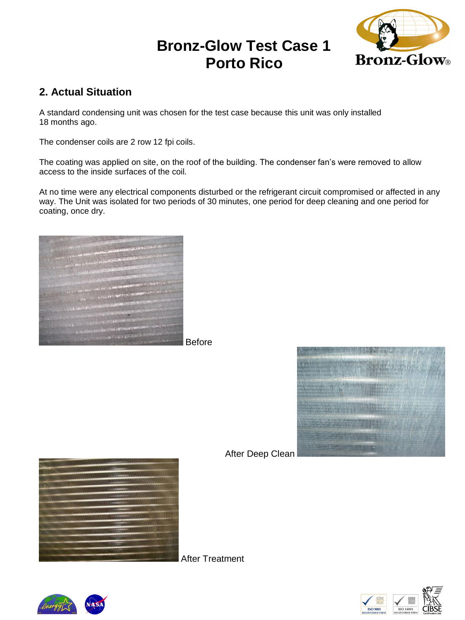

# **2. Actual Situation**

A standard condensing unit was chosen for the test case because this unit was only installed 18 months ago.

The condenser coils are 2 row 12 fpi coils.

The coating was applied on site, on the roof of the building. The condenser fan's were removed to allow access to the inside surfaces of the coil.

At no time were any electrical components disturbed or the refrigerant circuit compromised or affected in any way. The Unit was isolated for two periods of 30 minutes, one period for deep cleaning and one period for coating, once dry.



Before



After Deep Clean



After Treatment





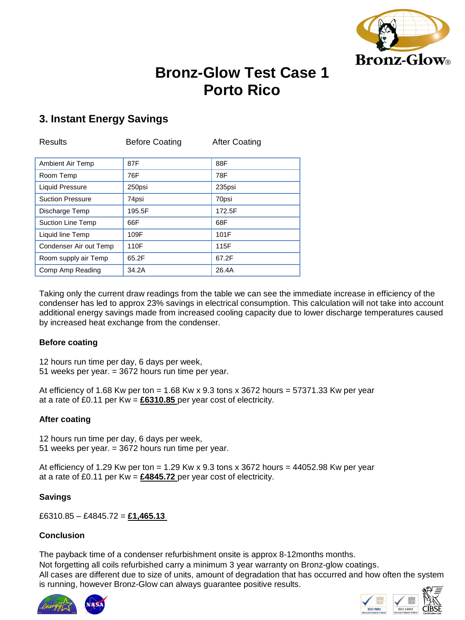

# **3. Instant Energy Savings**

| <b>Results</b>          | <b>Before Coating</b> | <b>After Coating</b> |
|-------------------------|-----------------------|----------------------|
| <b>Ambient Air Temp</b> | 87F                   | 88F                  |
| Room Temp               | 76F                   | 78F                  |
| <b>Liquid Pressure</b>  | 250psi                | 235psi               |
| <b>Suction Pressure</b> | 74psi                 | 70psi                |
| Discharge Temp          | 195.5F                | 172.5F               |
| Suction Line Temp       | 66F                   | 68F                  |
| Liquid line Temp        | 109F                  | 101F                 |
| Condenser Air out Temp  | 110F                  | 115F                 |
| Room supply air Temp    | 65.2F                 | 67.2F                |
| Comp Amp Reading        | 34.2A                 | 26.4A                |

Taking only the current draw readings from the table we can see the immediate increase in efficiency of the condenser has led to approx 23% savings in electrical consumption. This calculation will not take into account additional energy savings made from increased cooling capacity due to lower discharge temperatures caused by increased heat exchange from the condenser.

### **Before coating**

12 hours run time per day, 6 days per week,

51 weeks per year. = 3672 hours run time per year.

At efficiency of 1.68 Kw per ton =  $1.68$  Kw x 9.3 tons x 3672 hours =  $57371.33$  Kw per year at a rate of £0.11 per Kw = **£6310.85** per year cost of electricity.

## **After coating**

12 hours run time per day, 6 days per week, 51 weeks per year. = 3672 hours run time per year.

At efficiency of 1.29 Kw per ton = 1.29 Kw x 9.3 tons x 3672 hours = 44052.98 Kw per year at a rate of £0.11 per Kw = **£4845.72** per year cost of electricity.

## **Savings**

£6310.85 – £4845.72 = **£1,465.13**

## **Conclusion**

The payback time of a condenser refurbishment onsite is approx 8-12months months.

Not forgetting all coils refurbished carry a minimum 3 year warranty on Bronz-glow coatings. All cases are different due to size of units, amount of degradation that has occurred and how often the system is running, however Bronz-Glow can always guarantee positive results.



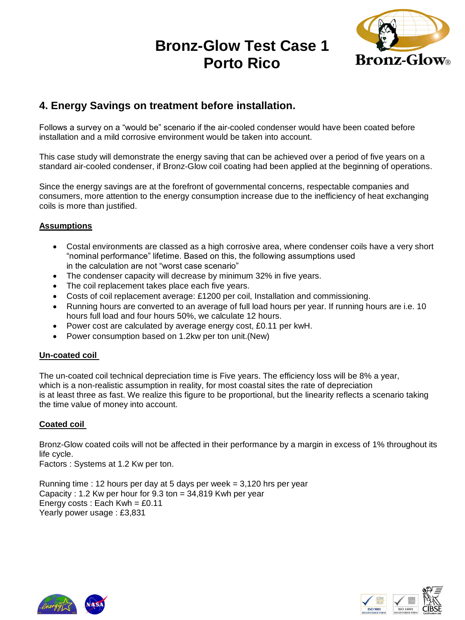

# **4. Energy Savings on treatment before installation.**

Follows a survey on a "would be" scenario if the air-cooled condenser would have been coated before installation and a mild corrosive environment would be taken into account.

This case study will demonstrate the energy saving that can be achieved over a period of five years on a standard air-cooled condenser, if Bronz-Glow coil coating had been applied at the beginning of operations.

Since the energy savings are at the forefront of governmental concerns, respectable companies and consumers, more attention to the energy consumption increase due to the inefficiency of heat exchanging coils is more than justified.

### **Assumptions**

- Costal environments are classed as a high corrosive area, where condenser coils have a very short "nominal performance" lifetime. Based on this, the following assumptions used in the calculation are not "worst case scenario"
- The condenser capacity will decrease by minimum 32% in five years.
- The coil replacement takes place each five years.
- Costs of coil replacement average: £1200 per coil, Installation and commissioning.
- Running hours are converted to an average of full load hours per year. If running hours are i.e. 10 hours full load and four hours 50%, we calculate 12 hours.
- Power cost are calculated by average energy cost, £0.11 per kwH.
- Power consumption based on 1.2kw per ton unit.(New)

### **Un-coated coil**

The un-coated coil technical depreciation time is Five years. The efficiency loss will be 8% a year, which is a non-realistic assumption in reality, for most coastal sites the rate of depreciation is at least three as fast. We realize this figure to be proportional, but the linearity reflects a scenario taking the time value of money into account.

### **Coated coil**

Bronz-Glow coated coils will not be affected in their performance by a margin in excess of 1% throughout its life cycle.

Factors : Systems at 1.2 Kw per ton.

Running time : 12 hours per day at 5 days per week = 3,120 hrs per year Capacity : 1.2 Kw per hour for 9.3 ton = 34,819 Kwh per year Energy costs : Each Kwh = £0.11 Yearly power usage : £3,831